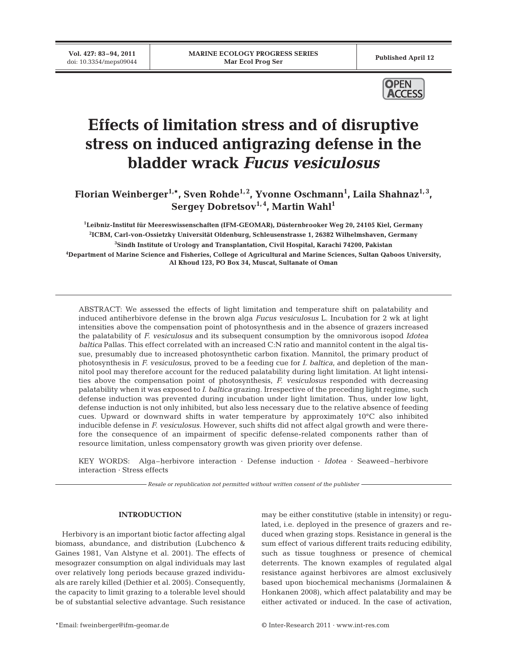**Vol. 427: 83–94, 2011**



# **Effects of limitation stress and of disruptive stress on induced antigrazing defense in the bladder wrack** *Fucus vesiculosus*

Florian Weinberger<sup>1,</sup>\*, Sven Rohde<sup>1,2</sup>, Yvonne Oschmann<sup>1</sup>, Laila Shahnaz<sup>1,3</sup>, Sergey Dobretsov<sup>1, 4</sup>, Martin Wahl<sup>1</sup>

 **Leibniz-Institut für Meereswissenschaften (IFM-GEOMAR), Düsternbrooker Weg 20, 24105 Kiel, Germany ICBM, Carl-von-Ossietzky Universität Oldenburg, Schleusenstrasse 1, 26382 Wilhelmshaven, Germany Sindh Institute of Urology and Transplantation, Civil Hospital, Karachi 74200, Pakistan Department of Marine Science and Fisheries, College of Agricultural and Marine Sciences, Sultan Qaboos University, Al Khoud 123, PO Box 34, Muscat, Sultanate of Oman**

ABSTRACT: We assessed the effects of light limitation and temperature shift on palatability and induced antiherbivore defense in the brown alga *Fucus vesiculosus* L. Incubation for 2 wk at light intensities above the compensation point of photosynthesis and in the absence of grazers increased the palatability of *F. vesiculosus* and its subsequent consumption by the omnivorous isopod *Idotea baltica* Pallas. This effect correlated with an increased C:N ratio and mannitol content in the algal tissue, presumably due to increased photosynthetic carbon fixation. Mannitol, the primary product of photosynthesis in *F. vesiculosus*, proved to be a feeding cue for *I. baltica*, and depletion of the mannitol pool may therefore account for the reduced palatability during light limitation. At light intensities above the compensation point of photosynthesis, *F. vesiculosus* responded with decreasing palatability when it was exposed to *I. baltica* grazing. Irrespective of the preceding light regime, such defense induction was prevented during incubation under light limitation. Thus, under low light, defense induction is not only inhibited, but also less necessary due to the relative absence of feeding cues. Upward or downward shifts in water temperature by approximately 10°C also inhibited inducible defense in *F. vesiculosus*. However, such shifts did not affect algal growth and were therefore the consequence of an impairment of specific defense-related components rather than of resource limitation, unless compensatory growth was given priority over defense.

KEY WORDS: Alga–herbivore interaction · Defense induction · *Idotea* · Seaweed–herbivore interaction · Stress effects

*Resale or republication not permitted without written consent of the publisher*

# **INTRODUCTION**

Herbivory is an important biotic factor affecting algal biomass, abundance, and distribution (Lubchenco & Gaines 1981, Van Alstyne et al. 2001). The effects of mesograzer consumption on algal individuals may last over relatively long periods because grazed individuals are rarely killed (Dethier et al. 2005). Consequently, the capacity to limit grazing to a tolerable level should be of substantial selective advantage. Such resistance

may be either constitutive (stable in intensity) or regulated, i.e. deployed in the presence of grazers and reduced when grazing stops. Resistance in general is the sum effect of various different traits reducing edibility, such as tissue toughness or presence of chemical deterrents. The known examples of regulated algal resistance against herbivores are almost exclusively based upon biochemical mechanisms (Jormalainen & Honkanen 2008), which affect palatability and may be either activated or induced. In the case of activation,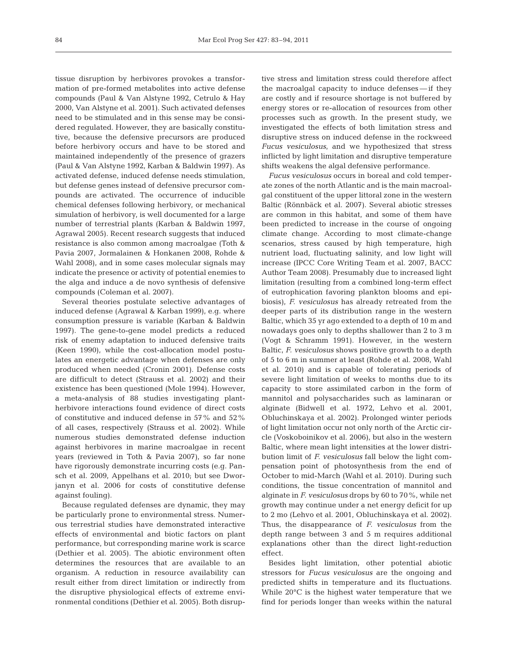tissue disruption by herbivores provokes a transfor mation of pre-formed metabolites into active defense compounds (Paul & Van Alstyne 1992, Cetrulo & Hay 2000, Van Alstyne et al. 2001). Such activated defenses need to be stimulated and in this sense may be considered regulated. However, they are basically constitutive, because the defensive precursors are produced before herbivory occurs and have to be stored and maintained independently of the presence of grazers (Paul & Van Alstyne 1992, Karban & Baldwin 1997). As activated defense, induced defense needs stimulation, but defense genes instead of defensive precursor compounds are activated. The occurrence of inducible chemical defenses following herbivory, or mechanical simulation of herbivory, is well documented for a large number of terrestrial plants (Karban & Baldwin 1997, Agrawal 2005). Recent research suggests that induced resistance is also common among macroalgae (Toth & Pavia 2007, Jormalainen & Honkanen 2008, Rohde & Wahl 2008), and in some cases molecular signals may indicate the presence or activity of potential enemies to the alga and induce a de novo synthesis of defensive compounds (Coleman et al. 2007).

Several theories postulate selective advantages of induced defense (Agrawal & Karban 1999), e.g. where consumption pressure is variable (Karban & Baldwin 1997). The gene-to-gene model predicts a reduced risk of enemy adaptation to induced defensive traits (Keen 1990), while the cost-allocation model postulates an energetic advantage when defenses are only produced when needed (Cronin 2001). Defense costs are difficult to detect (Strauss et al. 2002) and their existence has been questioned (Mole 1994). However, a meta-analysis of 88 studies investigating plantherbivore interactions found evidence of direct costs of constitutive and induced defense in 57% and 52% of all cases, respectively (Strauss et al. 2002). While numerous studies demonstrated defense induction against herbivores in marine macroalgae in recent years (reviewed in Toth & Pavia 2007), so far none have rigorously demonstrate incurring costs (e.g. Pansch et al. 2009, Appelhans et al. 2010; but see Dworjanyn et al. 2006 for costs of constitutive defense against fouling).

Because regulated defenses are dynamic, they may be particularly prone to environmental stress. Numerous terrestrial studies have demonstrated interactive effects of environmental and biotic factors on plant performance, but corresponding marine work is scarce (Dethier et al. 2005). The abiotic environment often determines the resources that are available to an organism. A reduction in resource availability can result either from direct limitation or indirectly from the disruptive physiological effects of extreme environmental conditions (Dethier et al. 2005). Both disruptive stress and limitation stress could therefore affect the macroalgal capacity to induce defenses — if they are costly and if resource shortage is not buffered by energy stores or re-allocation of resources from other processes such as growth. In the present study, we investigated the effects of both limitation stress and disruptive stress on induced defense in the rockweed *Fucus vesiculosus*, and we hypothesized that stress inflicted by light limitation and disruptive temperature shifts weakens the algal defensive performance.

*Fucus vesiculosus* occurs in boreal and cold temperate zones of the north Atlantic and is the main macroalgal constituent of the upper littoral zone in the western Baltic (Rönnbäck et al. 2007). Several abiotic stresses are common in this habitat, and some of them have been predicted to increase in the course of ongoing climate change. According to most climate-change scenarios, stress caused by high temperature, high nutrient load, fluctuating salinity, and low light will increase (IPCC Core Writing Team et al. 2007, BACC Author Team 2008). Presumably due to increased light limitation (resulting from a combined long-term effect of eutrophication favoring plankton blooms and epi biosis), *F. vesiculosus* has already retreated from the deeper parts of its distribution range in the western Baltic, which 35 yr ago extended to a depth of 10 m and nowadays goes only to depths shallower than 2 to 3 m (Vogt & Schramm 1991). However, in the western Baltic, *F. vesiculosus* shows positive growth to a depth of 5 to 6 m in summer at least (Rohde et al. 2008, Wahl et al. 2010) and is capable of tolerating periods of severe light limitation of weeks to months due to its capacity to store assimilated carbon in the form of mannitol and polysaccharides such as laminaran or alginate (Bidwell et al. 1972, Lehvo et al. 2001, Obluchinskaya et al. 2002). Prolonged winter periods of light limitation occur not only north of the Arctic circle (Voskoboinikov et al. 2006), but also in the western Baltic, where mean light intensities at the lower distribution limit of *F. vesiculosus* fall below the light compensation point of photosynthesis from the end of October to mid-March (Wahl et al. 2010). During such conditions, the tissue concentration of mannitol and alginate in *F. vesiculosus* drops by 60 to 70%, while net growth may continue under a net energy deficit for up to 2 mo (Lehvo et al. 2001, Obluchinskaya et al. 2002). Thus, the disappearance of *F. vesiculosus* from the depth range between 3 and 5 m requires additional explanations other than the direct light-reduction effect.

Besides light limitation, other potential abiotic stressors for *Fucus vesiculosus* are the ongoing and predicted shifts in temperature and its fluctuations. While 20°C is the highest water temperature that we find for periods longer than weeks within the natural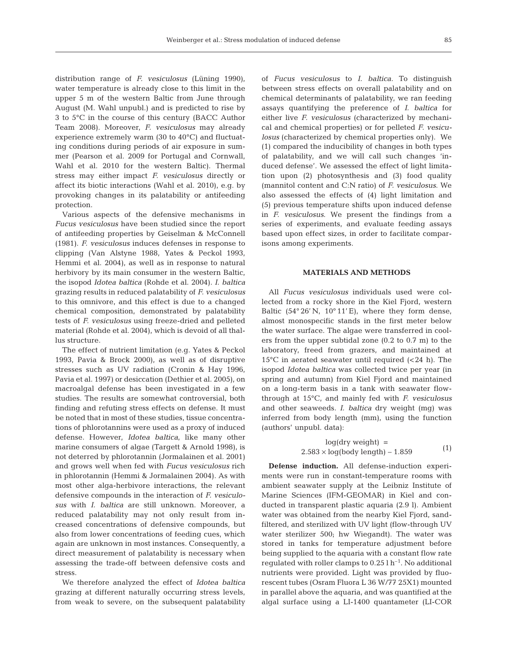distribution range of *F. vesiculosus* (Lüning 1990), water temperature is already close to this limit in the upper 5 m of the western Baltic from June through August (M. Wahl unpubl.) and is predicted to rise by 3 to 5°C in the course of this century (BACC Author Team 2008). Moreover, *F. vesiculosus* may already experience extremely warm (30 to  $40^{\circ}$ C) and fluctuating conditions during periods of air exposure in summer (Pearson et al. 2009 for Portugal and Cornwall, Wahl et al. 2010 for the western Baltic). Thermal stress may either impact *F. vesiculosus* directly or affect its biotic interactions (Wahl et al. 2010), e.g. by provoking changes in its palatability or antifeeding protection.

Various aspects of the defensive mechanisms in *Fucus vesiculosus* have been studied since the report of antifeeding properties by Geiselman & McConnell (1981). *F. vesiculosus* induces defenses in response to clipping (Van Alstyne 1988, Yates & Peckol 1993, Hemmi et al. 2004), as well as in response to natural herbivory by its main consumer in the western Baltic, the isopod *Idotea baltica* (Rohde et al. 2004). *I. baltica* grazing results in reduced palatability of *F. vesiculosus* to this omnivore, and this effect is due to a changed chemical composition, demonstrated by palatability tests of *F. vesiculosus* using freeze-dried and pelleted material (Rohde et al. 2004), which is devoid of all thallus structure.

The effect of nutrient limitation (e.g. Yates & Peckol 1993, Pavia & Brock 2000), as well as of disruptive stresses such as UV radiation (Cronin & Hay 1996, Pavia et al. 1997) or desiccation (Dethier et al. 2005), on macroalgal defense has been investigated in a few studies. The results are somewhat controversial, both finding and refuting stress effects on defense. It must be noted that in most of these studies, tissue concentrations of phlorotannins were used as a proxy of induced defense. However, *Idotea baltica*, like many other marine consumers of algae (Targett & Arnold 1998), is not deterred by phlorotannin (Jormalainen et al. 2001) and grows well when fed with *Fucus vesiculosus* rich in phlorotannin (Hemmi & Jormalainen 2004). As with most other alga-herbivore interactions, the relevant defensive compounds in the interaction of *F. vesiculosus* with *I. baltica* are still unknown. Moreover, a reduced palatability may not only result from increased concentrations of defensive compounds, but also from lower concentrations of feeding cues, which again are unknown in most instances. Consequently, a direct measurement of palatability is necessary when assessing the trade-off between defensive costs and stress.

We therefore analyzed the effect of *Idotea baltica* grazing at different naturally occurring stress levels, from weak to severe, on the subsequent palatability of *Fucus vesiculosus* to *I. baltica*. To distinguish between stress effects on overall palatability and on chemical determinants of palatability, we ran feeding assays quantifying the preference of *I. baltica* for either live *F. vesiculosus* (characterized by mechanical and chemical properties) or for pelleted *F. vesiculosus* (characterized by chemical properties only). We (1) compared the inducibility of changes in both types of palatability, and we will call such changes 'induced defense'. We assessed the effect of light limitation upon (2) photosynthesis and (3) food quality (mannitol content and C:N ratio) of *F. vesiculosus*. We also assessed the effects of (4) light limitation and (5) previous temperature shifts upon induced defense in *F. vesiculosus*. We present the findings from a series of experiments, and evaluate feeding assays based upon effect sizes, in order to facilitate comparisons among experiments.

# **MATERIALS AND METHODS**

All *Fucus vesiculosus* individuals used were collected from a rocky shore in the Kiel Fjord, western Baltic  $(54^{\circ}26' N, 10^{\circ}11' E)$ , where they form dense, almost monospecific stands in the first meter below the water surface. The algae were transferred in coolers from the upper subtidal zone (0.2 to 0.7 m) to the laboratory, freed from grazers, and maintained at  $15^{\circ}$ C in aerated seawater until required (<24 h). The isopod *Idotea baltica* was collected twice per year (in spring and autumn) from Kiel Fjord and maintained on a long-term basis in a tank with seawater flowthrough at 15°C, and mainly fed with *F. vesiculosus* and other seaweeds. *I. baltica* dry weight (mg) was in ferred from body length (mm), using the function (authors' unpubl. data):

$$
log(dry weight) =
$$
  
2.583 × log(body length) – 1.859 (1)

**Defense induction.** All defense-induction experiments were run in constant-temperature rooms with ambient seawater supply at the Leibniz Institute of Marine Sciences (IFM-GEOMAR) in Kiel and conducted in transparent plastic aquaria (2.9 l). Ambient water was obtained from the nearby Kiel Fjord, sandfiltered, and sterilized with UV light (flow-through UV water sterilizer 500; hw Wiegandt). The water was stored in tanks for temperature adjustment before being supplied to the aquaria with a constant flow rate regulated with roller clamps to  $0.25 \, 1 \, \text{h}^{-1}$ . No additional nutrients were provided. Light was provided by fluorescent tubes (Osram Fluora L 36 W/77 25X1) mounted in parallel above the aquaria, and was quantified at the algal surface using a LI-1400 quantameter (LI-COR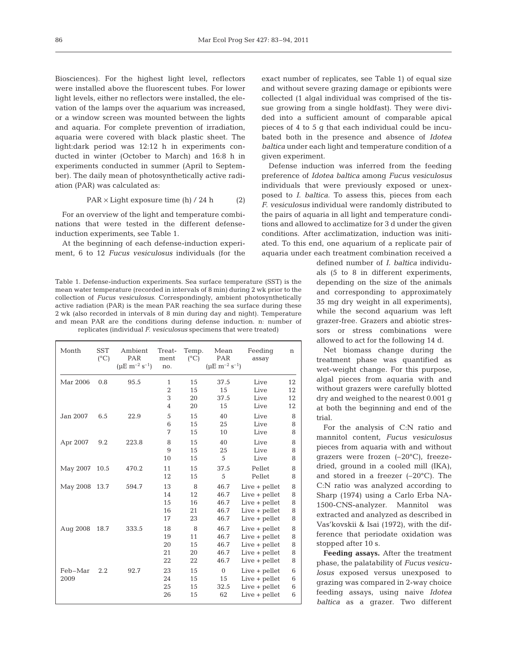Biosciences). For the highest light level, reflectors were installed above the fluorescent tubes. For lower light levels, either no reflectors were installed, the elevation of the lamps over the aquarium was increased, or a window screen was mounted between the lights and aquaria. For complete prevention of irradiation, aquaria were covered with black plastic sheet. The light:dark period was 12:12 h in experiments conducted in winter (October to March) and 16:8 h in experiments conducted in summer (April to September). The daily mean of photosynthetically active radiation (PAR) was calculated as:

$$
PAR \times Light\ exposure\ time\ (h) / 24\ h \tag{2}
$$

For an overview of the light and temperature combinations that were tested in the different defenseinduction experiments, see Table 1.

At the beginning of each defense-induction experiment, 6 to 12 *Fucus vesiculosus* individuals (for the

Table 1. Defense-induction experiments. Sea surface temperature (SST) is the mean water temperature (recorded in intervals of 8 min) during 2 wk prior to the collection of *Fucus vesiculosus*. Correspondingly, ambient photosynthetically active radiation (PAR) is the mean PAR reaching the sea surface during these 2 wk (also recorded in intervals of 8 min during day and night). Temperature and mean PAR are the conditions during defense induction. n: number of replicates (individual *F. vesiculosus* specimens that were treated)

| Month           | <b>SST</b><br>$(^{\circ}C)$ | Ambient<br>PAR<br>$(\mu E \text{ m}^{-2} \text{ s}^{-1})$ | Treat-<br>ment<br>no.                      | Temp.<br>$(^{\circ}C)$    | Mean<br><b>PAR</b><br>$(\mu E \text{ m}^{-2} \text{ s}^{-1})$ | Feeding<br>assay                                                                            | n                     |
|-----------------|-----------------------------|-----------------------------------------------------------|--------------------------------------------|---------------------------|---------------------------------------------------------------|---------------------------------------------------------------------------------------------|-----------------------|
| Mar 2006        | 0.8                         | 95.5                                                      | 1<br>$\overline{2}$<br>3<br>$\overline{4}$ | 15<br>15<br>20<br>20      | 37.5<br>15<br>37.5<br>15                                      | Live<br>Live<br>Live<br>Live                                                                | 12<br>12<br>12<br>12  |
| Jan 2007        | 6.5                         | 22.9                                                      | 5<br>6<br>7                                | 15<br>15<br>15            | 40<br>25<br>10                                                | Live<br>Live<br>Live                                                                        | 8<br>8<br>8           |
| Apr 2007        | 9.2                         | 223.8                                                     | 8<br>9<br>10                               | 15<br>15<br>15            | 40<br>25<br>5                                                 | Live<br>Live<br>Live                                                                        | 8<br>8<br>8           |
| May 2007        | 10.5                        | 470.2                                                     | 11<br>12                                   | 15<br>15                  | 37.5<br>5                                                     | Pellet<br>Pellet                                                                            | 8<br>8                |
| May 2008        | 13.7                        | 594.7                                                     | 13<br>14<br>15<br>16<br>17                 | 8<br>12<br>16<br>21<br>23 | 46.7<br>46.7<br>46.7<br>46.7<br>46.7                          | $Live + pellet$<br>$Live + pellet$<br>$Live + pellet$<br>Live $+$ pellet<br>$Live + pellet$ | 8<br>8<br>8<br>8<br>8 |
| Aug 2008        | 18.7                        | 333.5                                                     | 18<br>19<br>20<br>21<br>22                 | 8<br>11<br>15<br>20<br>22 | 46.7<br>46.7<br>46.7<br>46.7<br>46.7                          | Live $+$ pellet<br>$Live + pellet$<br>Live $+$ pellet<br>Live $+$ pellet<br>$Live + pellet$ | 8<br>8<br>8<br>8<br>8 |
| Feb-Mar<br>2009 | 2.2                         | 92.7                                                      | 23<br>24<br>25<br>26                       | 15<br>15<br>15<br>15      | $\Omega$<br>15<br>32.5<br>62                                  | Live $+$ pellet<br>$Live + pellet$<br>$Live + pellet$<br>$Live + pellet$                    | 6<br>6<br>6<br>6      |

exact number of replicates, see Table 1) of equal size and without severe grazing damage or epibionts were collected (1 algal individual was comprised of the tissue growing from a single holdfast). They were divided into a sufficient amount of comparable apical pieces of 4 to 5 g that each individual could be incubated both in the presence and absence of *Idotea baltica* under each light and temperature condition of a given experiment.

Defense induction was inferred from the feeding preference of *Idotea baltica* among *Fucus vesiculosus* individuals that were previously exposed or unexposed to *I. baltica*. To assess this, pieces from each *F. vesiculosus* individual were randomly distributed to the pairs of aquaria in all light and temperature conditions and allowed to acclimatize for 3 d under the given conditions. After acclimatization, induction was initiated. To this end, one aquarium of a replicate pair of aquaria under each treatment combination received a

> defined number of *I. baltica* individuals (5 to 8 in different experiments, depending on the size of the animals and corresponding to approximately 35 mg dry weight in all experiments), while the second aquarium was left grazer-free. Grazers and abiotic stressors or stress combinations were allowed to act for the following 14 d.

> Net biomass change during the treatment phase was quantified as wet-weight change. For this purpose, algal pieces from aquaria with and without grazers were carefully blotted dry and weighed to the nearest 0.001 g at both the beginning and end of the trial.

> For the analysis of C:N ratio and mannitol content, *Fucus vesiculosus* pieces from aquaria with and without grazers were frozen (–20°C), freezedried, ground in a cooled mill (IKA), and stored in a freezer  $(-20^{\circ}C)$ . The C:N ratio was analyzed according to Sharp (1974) using a Carlo Erba NA-1500-CNS-analyzer. Mannitol was extracted and analyzed as described in Vas'kovs kii & Isai (1972), with the difference that periodate oxidation was stopped after 10 s.

> **Feeding assays.** After the treatment phase, the palatability of *Fucus vesiculosus* exposed versus unexposed to grazing was compared in 2-way choice feeding assays, using naive *Idotea baltica* as a grazer. Two different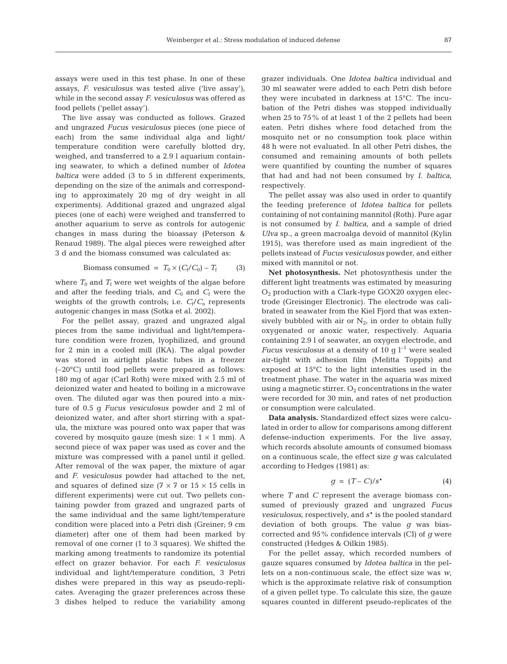assays were used in this test phase. In one of these assays, *F. vesiculosus* was tested alive ('live assay'), while in the second assay *F. vesiculosus* was offered as food pellets ('pellet assay').

The live assay was conducted as follows. Grazed and ungrazed *Fucus vesiculosus* pieces (one piece of each) from the same individual alga and light/ temperature condition were carefully blotted dry, weighed, and transferred to a 2.9 l aquarium containing seawater, to which a defined number of *Idotea baltica* were added (3 to 5 in different experiments, depending on the size of the animals and corresponding to approximately 20 mg of dry weight in all experiments). Additional grazed and ungrazed algal pieces (one of each) were weighed and transferred to another aquarium to serve as controls for autogenic changes in mass during the bioassay (Peterson & Renaud 1989). The algal pieces were reweighed after 3 d and the biomass consumed was calculated as:

$$
Biomass consumed = T_0 \times (C_f/C_0) - T_f \tag{3}
$$

where  $T_0$  and  $T_f$  were wet weights of the algae before and after the feeding trials, and  $C_0$  and  $C_f$  were the weights of the growth controls; i.e.  $C_f/C_o$  represents autogenic changes in mass (Sotka et al. 2002).

For the pellet assay, grazed and ungrazed algal pieces from the same individual and light/temperature condition were frozen, lyophilized, and ground for 2 min in a cooled mill (IKA). The algal powder was stored in airtight plastic tubes in a freezer (–20°C) until food pellets were prepared as follows: 180 mg of agar (Carl Roth) were mixed with 2.5 ml of deionized water and heated to boiling in a microwave oven. The diluted agar was then poured into a mixture of 0.5 g *Fucus vesiculosus* powder and 2 ml of deionized water, and after short stirring with a spatula, the mixture was poured onto wax paper that was covered by mosquito gauze (mesh size:  $1 \times 1$  mm). A second piece of wax paper was used as cover and the mixture was compressed with a panel until it gelled. After removal of the wax paper, the mixture of agar and *F. vesiculosus* powder had attached to the net, and squares of defined size ( $7 \times 7$  or  $15 \times 15$  cells in different experiments) were cut out. Two pellets containing powder from grazed and ungrazed parts of the same individual and the same light/temperature condition were placed into a Petri dish (Greiner; 9 cm diameter) after one of them had been marked by removal of one corner (1 to 3 squares). We shifted the marking among treatments to randomize its potential effect on grazer behavior. For each *F. vesiculosus* individual and light/temperature condition, 3 Petri dishes were prepared in this way as pseudo-replicates. Averaging the grazer preferences across these 3 dishes helped to reduce the variability among

grazer individuals. One *Idotea baltica* individual and 30 ml seawater were added to each Petri dish before they were incubated in darkness at 15°C. The incubation of the Petri dishes was stopped individually when 25 to 75% of at least 1 of the 2 pellets had been eaten. Petri dishes where food detached from the mosquito net or no consumption took place within 48 h were not evaluated. In all other Petri dishes, the consumed and remaining amounts of both pellets were quantified by counting the number of squares that had and had not been consumed by *I. baltica*, respectively.

The pellet assay was also used in order to quantify the feeding preference of *Idotea baltica* for pellets containing of not containing mannitol (Roth). Pure agar is not consumed by *I. baltica*, and a sample of dried *Ulva* sp., a green macroalga devoid of mannitol (Kylin 1915), was therefore used as main ingredient of the pellets instead of *Fucus vesiculosus* powder, and either mixed with mannitol or not.

**Net photosynthesis.** Net photosynthesis under the different light treatments was estimated by measuring  $O<sub>2</sub>$  production with a Clark-type GOX20 oxygen electrode (Greisinger Electronic). The electrode was calibrated in seawater from the Kiel Fjord that was extensively bubbled with air or  $N_2$ , in order to obtain fully oxygenated or anoxic water, respectively. Aquaria containing 2.9 l of seawater, an oxygen electrode, and *Fucus vesiculosus* at a density of 10 g  $l^{-1}$  were sealed air-tight with adhesion film (Melitta Toppits) and exposed at 15°C to the light intensities used in the treatment phase. The water in the aquaria was mixed using a magnetic stirrer.  $O_2$  concentrations in the water were recorded for 30 min, and rates of net production or consumption were calculated.

**Data analysis.** Standardized effect sizes were calculated in order to allow for comparisons among different defense-induction experiments. For the live assay, which records absolute amounts of consumed biomass on a continuous scale, the effect size *g* was calculated according to Hedges (1981) as:

$$
g = (T - C)/s^* \tag{4}
$$

where *T* and *C* represent the average biomass consumed of previously grazed and ungrazed *Fucus vesiculosus*, respectively, and *s*\* is the pooled standard deviation of both groups. The value *g* was biascorrected and 95% confidence intervals (CI) of *g* were constructed (Hedges & Oilkin 1985).

For the pellet assay, which recorded numbers of gauze squares consumed by *Idotea baltica* in the pellets on a non-continuous scale, the effect size was *w*, which is the approximate relative risk of consumption of a given pellet type. To calculate this size, the gauze squares counted in different pseudo-replicates of the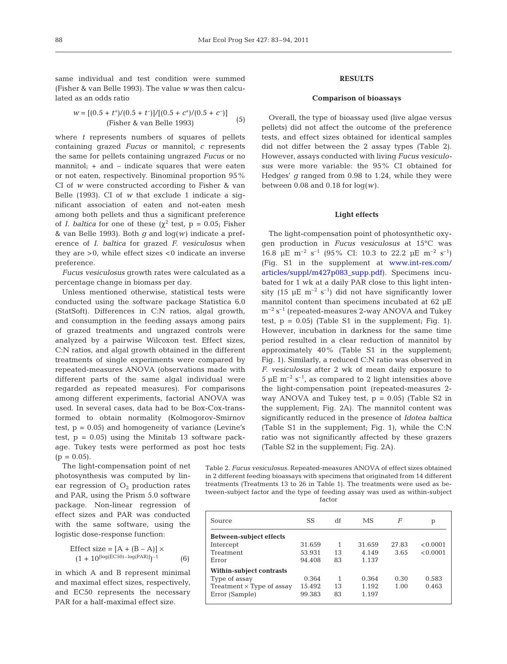same individual and test condition were summed (Fisher & van Belle 1993). The value *w* was then calculated as an odds ratio

$$
w = [(0.5 + t^{+})/(0.5 + t^{-})]/[(0.5 + c^{+})/(0.5 + c^{-})]
$$
  
(Fisher & van Belle 1993) (5)

where *t* represents numbers of squares of pellets containing grazed *Fucus* or mannitol; *c* represents the same for pellets containing ungrazed *Fucus* or no mannitol; + and – indicate squares that were eaten or not eaten, respectively. Binominal proportion 95% CI of *w* were constructed according to Fisher & van Belle (1993). CI of *w* that exclude 1 indicate a significant association of eaten and not-eaten mesh among both pellets and thus a significant preference of *I. baltica* for one of these ( $\chi^2$  test, p = 0.05; Fisher & van Belle 1993). Both *g* and log(*w*) indicate a preference of *I. baltica* for grazed *F. vesiculosus* when they are  $>0$ , while effect sizes  $< 0$  indicate an inverse preference.

*Fucus vesiculosus* growth rates were calculated as a percentage change in biomass per day.

Unless mentioned otherwise, statistical tests were conducted using the software package Statistica 6.0 (StatSoft). Differences in C:N ratios, algal growth, and consumption in the feeding assays among pairs of grazed treatments and ungrazed controls were analyzed by a pairwise Wilcoxon test. Effect sizes, C:N ratios, and algal growth obtained in the different treatments of single experiments were compared by repeated-measures ANOVA (observations made with different parts of the same algal individual were regarded as repeated measures). For comparisons among different experiments, factorial ANOVA was used. In several cases, data had to be Box-Cox-transformed to obtain normality (Kolmogorov-Smirnov test,  $p = 0.05$ ) and homogeneity of variance (Levine's test,  $p = 0.05$ ) using the Minitab 13 software package. Tukey tests were performed as post hoc tests  $(p = 0.05)$ .

The light-compensation point of net photosynthesis was computed by linear regression of  $O_2$  production rates and PAR, using the Prism 5.0 software package. Non-linear regression of effect sizes and PAR was conducted with the same software, using the logistic dose-response function:

Effect size = 
$$
[A + (B - A)] \times
$$
  
(1 + 10<sup>[log(EG50) - log(PAR)]</sup>)<sup>-1</sup> (6)

in which A and B represent minimal and maximal effect sizes, respectively, and EC50 represents the necessary PAR for a half-maximal effect size.

# **RESULTS**

# **Comparison of bioassays**

Overall, the type of bioassay used (live algae versus pellets) did not affect the outcome of the preference tests, and effect sizes obtained for identical samples did not differ between the 2 assay types (Table 2). However, assays conducted with living *Fucus vesiculosus* were more variable: the 95% CI obtained for Hedges' *g* ranged from 0.98 to 1.24, while they were between 0.08 and 0.18 for log(*w*).

### **Light effects**

The light-compensation point of photosynthetic oxygen production in *Fucus vesiculosus* at 15°C was 16.8  $\mu$ E m<sup>-2</sup> s<sup>-1</sup> (95% CI: 10.3 to 22.2  $\mu$ E m<sup>-2</sup> s<sup>-1</sup>) (Fig. S1 in the supplement at [www.int-res.com/](http://www.int-res.com/articles/suppl/m427p083_supp.pdf) [articles/suppl/m427p083\\_supp.pdf\).](http://www.int-res.com/articles/suppl/m427p083_supp.pdf) Specimens incubated for 1 wk at a daily PAR close to this light intensity (15  $\mu$ E m<sup>-2</sup> s<sup>-1</sup>) did not have significantly lower mannitol content than specimens incubated at 62 µE  $\rm m^{-2}$  s<sup>-1</sup> (repeated-measures 2-way ANOVA and Tukey test,  $p = 0.05$ ) (Table S1 in the supplement; Fig. 1). However, incubation in darkness for the same time period resulted in a clear reduction of mannitol by approximately 40% (Table S1 in the supplement; Fig. 1). Similarly, a reduced C:N ratio was observed in *F. vesiculosus* after 2 wk of mean daily exposure to  $5 \mu E$  m<sup>-2</sup> s<sup>-1</sup>, as compared to 2 light intensities above the light-compensation point (repeated-measures 2 way ANOVA and Tukey test,  $p = 0.05$ ) (Table S2 in the supplement; Fig. 2A). The mannitol content was significantly reduced in the presence of *Idotea baltica* (Table S1 in the supplement; Fig. 1), while the C:N ratio was not significantly affected by these grazers (Table S2 in the supplement; Fig. 2A).

Table 2. *Fucus vesiculosus*. Repeated-measures ANOVA of effect sizes obtained in 2 different feeding bioassays with specimens that originated from 14 different treatments (Treatments 13 to 26 in Table 1). The treatments were used as between-subject factor and the type of feeding assay was used as within-subject factor

| Source                           | SS     | df | MS     | F     | р        |  |  |  |  |
|----------------------------------|--------|----|--------|-------|----------|--|--|--|--|
| <b>Between-subject effects</b>   |        |    |        |       |          |  |  |  |  |
| Intercept                        | 31.659 | 1  | 31.659 | 27.83 | < 0.0001 |  |  |  |  |
| Treatment                        | 53.931 | 13 | 4.149  | 3.65  | < 0.0001 |  |  |  |  |
| Error                            | 94.408 | 83 | 1.137  |       |          |  |  |  |  |
| <b>Within-subject contrasts</b>  |        |    |        |       |          |  |  |  |  |
| Type of assay                    | 0.364  | 1  | 0.364  | 0.30  | 0.583    |  |  |  |  |
| Treatment $\times$ Type of assay | 15.492 | 13 | 1.192  | 1.00  | 0.463    |  |  |  |  |
| Error (Sample)                   | 99.383 | 83 | 1.197  |       |          |  |  |  |  |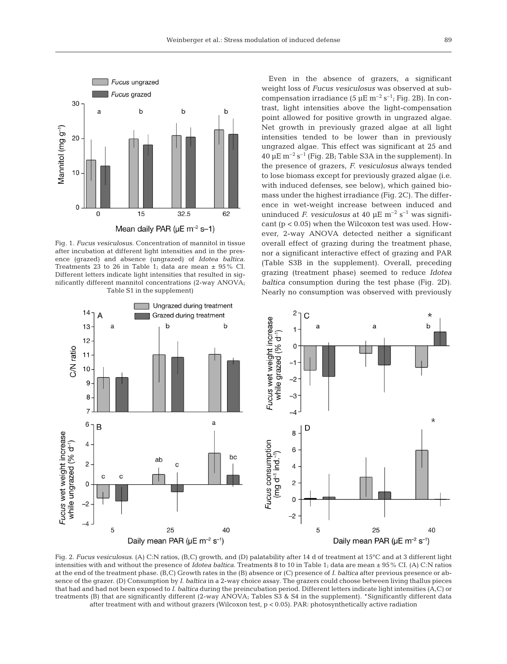

Fig. 1. *Fucus vesiculosus.* Concentration of mannitol in tissue after incubation at different light intensities and in the presence (grazed) and absence (ungrazed) of *Idotea baltica*. Treatments 23 to 26 in Table 1; data are mean  $\pm$  95% CI. Different letters indicate light intensities that resulted in significantly different mannitol concentrations (2-way ANOVA; Table S1 in the supplement)

Even in the absence of grazers, a significant weight loss of *Fucus vesiculosus* was observed at subcompensation irradiance (5  $\mu$ E m<sup>-2</sup> s<sup>-1</sup>; Fig. 2B). In contrast, light intensities above the light-compensation point allowed for positive growth in ungrazed algae. Net growth in previously grazed algae at all light intensities tended to be lower than in previously ungrazed algae. This effect was significant at 25 and  $40 \mu E$  m<sup>-2</sup> s<sup>-1</sup> (Fig. 2B; Table S3A in the supplement). In the presence of grazers, *F. vesiculosus* always tended to lose biomass except for previously grazed algae (i.e. with induced defenses, see below), which gained biomass under the highest irradiance (Fig. 2C). The difference in wet-weight increase between induced and uninduced *F. vesiculosus* at 40  $\mu$ E m<sup>-2</sup> s<sup>-1</sup> was significant (p < 0.05) when the Wilcoxon test was used. However, 2-way ANOVA detected neither a significant overall effect of grazing during the treatment phase, nor a significant interactive effect of grazing and PAR (Table S3B in the supplement). Overall, preceding grazing (treatment phase) seemed to reduce *Idotea baltica* consumption during the test phase (Fig. 2D). Nearly no consumption was observed with previously



Fig. 2. *Fucus vesiculosus*. (A) C:N ratios, (B,C) growth, and (D) palatability after 14 d of treatment at 15°C and at 3 different light intensities with and without the presence of *Idotea baltica*. Treatments 8 to 10 in Table 1; data are mean ± 95% CI. (A) C:N ratios at the end of the treatment phase. (B,C) Growth rates in the (B) absence or (C) presence of *I. baltica* after previous presence or absence of the grazer. (D) Consumption by *I. baltica* in a 2-way choice assay. The grazers could choose between living thallus pieces that had and had not been exposed to *I. baltica* during the preincubation period. Different letters indicate light intensities (A,C) or treatments (B) that are significantly different (2-way ANOVA; Tables S3 & S4 in the supplement). \*Significantly different data after treatment with and without grazers (Wilcoxon test, p < 0.05). PAR: photosynthetically active radiation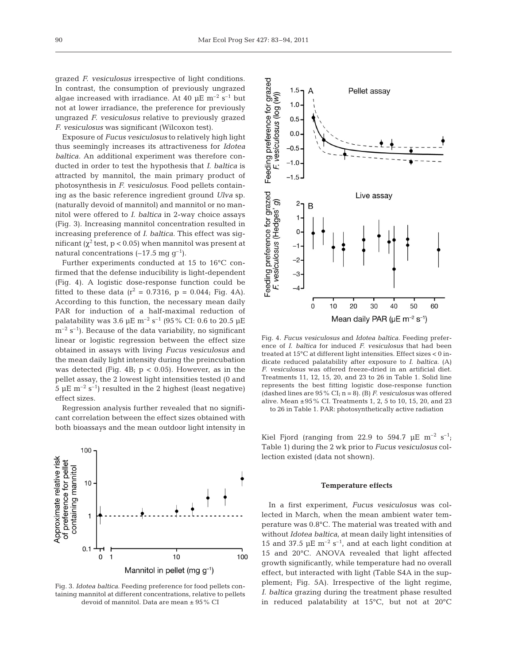grazed *F. vesiculosus* irrespective of light conditions. In contrast, the consumption of previously ungrazed algae increased with irradiance. At 40  $\mu$ E m<sup>-2</sup> s<sup>-1</sup> but not at lower irradiance, the preference for previously ungrazed *F. vesiculosus* relative to previously grazed *F. vesiculosus* was significant (Wilcoxon test).

Exposure of *Fucus vesiculosus* to relatively high light thus seemingly increases its attractiveness for *Idotea baltica.* An additional experiment was therefore conducted in order to test the hypothesis that *I. baltica* is attracted by mannitol, the main primary product of photosynthesis in *F. vesiculosus*. Food pellets containing as the basic reference ingredient ground *Ulva* sp. (naturally devoid of mannitol) and mannitol or no mannitol were offered to *I. baltica* in 2-way choice assays (Fig. 3). Increasing mannitol concentration resulted in increasing preference of *I. baltica.* This effect was significant ( $χ²$  test,  $p < 0.05$ ) when mannitol was present at natural concentrations  $(-17.5 \text{ mg g}^{-1})$ .

Further experiments conducted at 15 to 16°C confirmed that the defense inducibility is light-dependent (Fig. 4). A logistic dose-response function could be fitted to these data  $(r^2 = 0.7316, p = 0.044;$  Fig. 4A). According to this function, the necessary mean daily PAR for induction of a half-maximal reduction of palatability was 3.6  $\mu$ E m<sup>-2</sup> s<sup>-1</sup> (95% CI: 0.6 to 20.5  $\mu$ E  $m^{-2}$  s<sup>-1</sup>). Because of the data variability, no significant linear or logistic regression between the effect size obtained in assays with living *Fucus vesiculosus* and the mean daily light intensity during the preincubation was detected (Fig. 4B;  $p < 0.05$ ). However, as in the pellet assay, the 2 lowest light intensities tested (0 and 5 µE  $m^{-2}$  s<sup>-1</sup>) resulted in the 2 highest (least negative) effect sizes.

Regression analysis further revealed that no significant correlation between the effect sizes obtained with both bioassays and the mean outdoor light intensity in



Fig. 3. *Idotea baltica*. Feeding preference for food pellets containing mannitol at different concentrations, relative to pellets devoid of mannitol. Data are mean ± 95% CI



Fig. 4. *Fucus vesiculosus* and *Idotea baltica.* Feeding preference of *I. baltica* for induced *F. vesiculosus* that had been treated at 15°C at different light intensities. Effect sizes < 0 indicate reduced palatability after exposure to *I. baltica.* (A) *F. vesiculosus* was offered freeze-dried in an artificial diet. Treatments 11, 12, 15, 20, and 23 to 26 in Table 1. Solid line represents the best fitting logistic dose-response function (dashed lines are 95% CI; n = 8). (B) *F. vesiculosus* was offered alive. Mean  $\pm 95$ % CI. Treatments 1, 2, 5 to 10, 15, 20, and 23

to 26 in Table 1. PAR: photosynthetically active radiation

Kiel Fjord (ranging from 22.9 to 594.7  $\mu$ E m<sup>-2</sup> s<sup>-1</sup>; Table 1) during the 2 wk prior to *Fucus vesiculosus* collection existed (data not shown).

### **Temperature effects**

In a first experiment, *Fucus vesiculosus* was collected in March, when the mean ambient water temperature was 0.8°C. The material was treated with and without *Idotea baltica*, at mean daily light intensities of 15 and 37.5  $\mu$ E m<sup>-2</sup> s<sup>-1</sup>, and at each light condition at 15 and 20°C. ANOVA revealed that light affected growth significantly, while temperature had no overall effect, but interacted with light (Table S4A in the supplement; Fig. 5A). Irrespective of the light regime, *I. baltica* grazing during the treatment phase resulted in reduced palatability at 15°C, but not at 20°C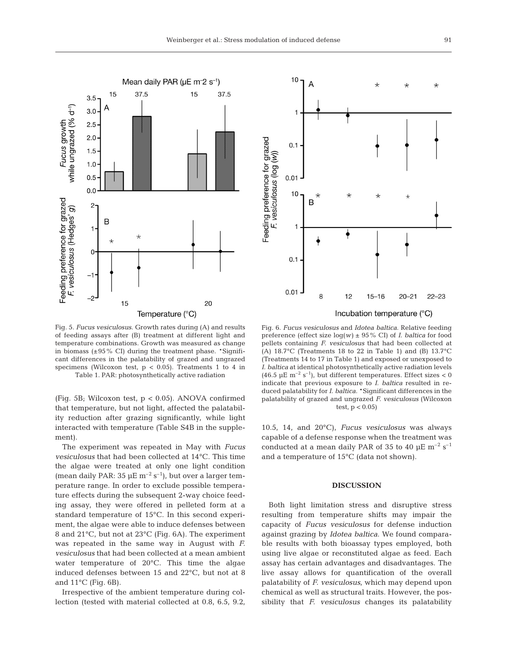



Fig. 5. *Fucus vesiculosus*. Growth rates during (A) and results of feeding assays after (B) treatment at different light and temperature combinations. Growth was measured as change in biomass  $(\pm 95\%$  CI) during the treatment phase. \*Significant differences in the palatability of grazed and ungrazed specimens (Wilcoxon test, p < 0.05). Treatments 1 to 4 in Table 1. PAR: photosynthetically active radiation

(Fig. 5B; Wilcoxon test,  $p < 0.05$ ). ANOVA confirmed that temperature, but not light, affected the palatability reduction after grazing significantly, while light interacted with temperature (Table S4B in the supplement).

The experiment was repeated in May with *Fucus vesiculosus* that had been collected at 14°C. This time the algae were treated at only one light condition (mean daily PAR:  $35 \mu E \text{ m}^{-2} \text{ s}^{-1}$ ), but over a larger temperature range. In order to exclude possible temperature effects during the subsequent 2-way choice feeding assay, they were offered in pelleted form at a standard temperature of 15°C. In this second experiment, the algae were able to induce defenses between 8 and 21°C, but not at 23°C (Fig. 6A). The experiment was repeated in the same way in August with *F. vesiculosus* that had been collected at a mean ambient water temperature of 20°C. This time the algae induced defenses between 15 and 22°C, but not at 8 and 11°C (Fig. 6B).

Irrespective of the ambient temperature during collection (tested with material collected at 0.8, 6.5, 9.2,

Fig. 6. *Fucus vesiculosus* and *Idotea baltica*. Relative feeding preference (effect size  $log(w) \pm 95\%$  CI) of *I. baltica* for food pellets containing *F. vesiculosus* that had been collected at (A)  $18.7^{\circ}$ C (Treatments 18 to 22 in Table 1) and (B)  $13.7^{\circ}$ C (Treatments 14 to 17 in Table 1) and exposed or unexposed to *I. baltica* at identical photosynthetically active radiation levels (46.5  $\mu$ E m<sup>-2</sup> s<sup>-1</sup>), but different temperatures. Effect sizes < 0 indicate that previous exposure to *I. baltica* resulted in reduced palatability for *I. baltica.* \*Significant differences in the palatability of grazed and ungrazed *F. vesiculosus* (Wilcoxon test,  $p < 0.05$ )

10.5, 14, and 20°C), *Fucus vesiculosus* was always capable of a defense response when the treatment was conducted at a mean daily PAR of 35 to 40  $\mu$ E m<sup>-2</sup> s<sup>-1</sup> and a temperature of 15°C (data not shown).

#### **DISCUSSION**

Both light limitation stress and disruptive stress resulting from temperature shifts may impair the capacity of *Fucus vesiculosus* for defense induction against grazing by *Idotea baltica*. We found comparable results with both bioassay types employed, both using live algae or reconstituted algae as feed. Each assay has certain advantages and disadvantages. The live assay allows for quantification of the overall palatability of *F. vesiculosus*, which may depend upon chemical as well as structural traits. However, the possibility that *F. vesiculosus* changes its palatability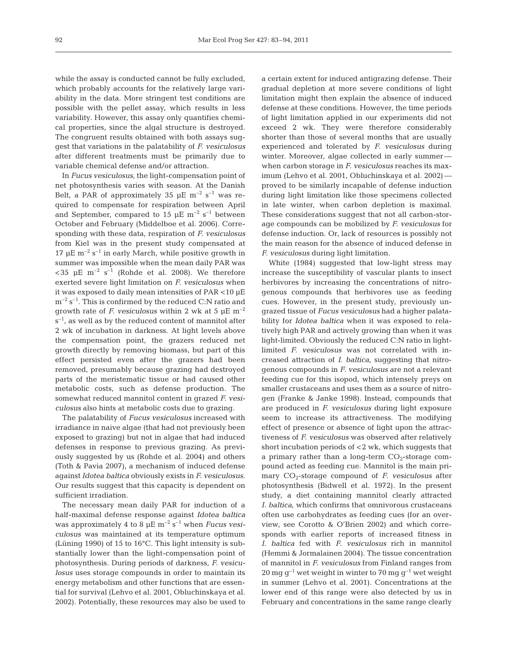while the assay is conducted cannot be fully excluded, which probably accounts for the relatively large variability in the data. More stringent test conditions are possible with the pellet assay, which results in less variability. However, this assay only quantifies chemical properties, since the algal structure is destroyed. The congruent results obtained with both assays suggest that variations in the palatability of *F. vesiculosus* after different treatments must be primarily due to variable chemical defense and/or attraction.

In *Fucus vesiculosus*, the light-compensation point of net photosynthesis varies with season. At the Danish Belt, a PAR of approximately 35  $\mu$ E m<sup>-2</sup> s<sup>-1</sup> was required to compensate for respiration between April and September, compared to 15  $\mu$ E m<sup>-2</sup> s<sup>-1</sup> between October and February (Middelboe et al. 2006). Corresponding with these data, respiration of *F. vesiculosus* from Kiel was in the present study compensated at 17  $\mu$ E m<sup>-2</sup> s<sup>-1</sup> in early March, while positive growth in summer was impossible when the mean daily PAR was  $<$ 35  $\mu$ E m<sup>-2</sup> s<sup>-1</sup> (Rohde et al. 2008). We therefore exerted severe light limitation on *F. vesiculosus* when it was exposed to daily mean intensities of PAR <10 µE  $m^{-2}$  s<sup>-1</sup>. This is confirmed by the reduced C:N ratio and growth rate of *F. vesiculosus* within 2 wk at 5  $\mu$ E m<sup>-2</sup>  $s^{-1}$ , as well as by the reduced content of mannitol after 2 wk of incubation in darkness. At light levels above the compensation point, the grazers reduced net growth directly by removing biomass, but part of this effect persisted even after the grazers had been removed, presumably because grazing had destroyed parts of the meristematic tissue or had caused other metabolic costs, such as defense production. The somewhat reduced mannitol content in grazed *F. vesi culosus* also hints at metabolic costs due to grazing.

The palatability of *Fucus vesiculosus* increased with irradiance in naive algae (that had not previously been exposed to grazing) but not in algae that had induced defenses in response to previous grazing. As previously suggested by us (Rohde et al. 2004) and others (Toth & Pavia 2007), a mechanism of induced defense against *Idotea baltica* obviously exists in *F. vesiculosus*. Our results suggest that this capacity is dependent on sufficient irradiation.

The necessary mean daily PAR for induction of a half-maximal defense response against *Idotea baltica* was approximately 4 to 8  $\mu$ E m<sup>-2</sup> s<sup>-1</sup> when *Fucus vesiculosus* was maintained at its temperature optimum (Lüning 1990) of 15 to 16°C. This light intensity is substantially lower than the light-compensation point of photosynthesis. During periods of darkness, *F. vesiculosus* uses storage compounds in order to maintain its energy metabolism and other functions that are essential for survival (Lehvo et al. 2001, Obluchinskaya et al. 2002). Potentially, these resources may also be used to

a certain extent for induced antigrazing defense. Their gradual depletion at more severe conditions of light limitation might then explain the absence of induced defense at these conditions. However, the time periods of light limitation applied in our experiments did not exceed 2 wk. They were therefore considerably shorter than those of several months that are usually experienced and tolerated by *F. vesiculosus* during winter. Moreover, algae collected in early summer when carbon storage in *F. vesiculosus* reaches its maximum (Lehvo et al. 2001, Obluchinskaya et al. 2002) proved to be similarly incapable of defense induction during light limitation like those specimens collected in late winter, when carbon depletion is maximal. These considerations suggest that not all carbon-storage compounds can be mobilized by *F. vesiculosus* for defense induction. Or, lack of resources is possibly not the main reason for the absence of induced defense in *F. vesiculosus* during light limitation.

White (1984) suggested that low-light stress may increase the susceptibility of vascular plants to insect herbivores by increasing the concentrations of nitrogenous compounds that herbivores use as feeding cues. However, in the present study, previously ungrazed tissue of *Fucus vesiculosus* had a higher palatability for *Idotea baltica* when it was exposed to relatively high PAR and actively growing than when it was light-limited. Obviously the reduced C:N ratio in lightlimited *F. vesiculosus* was not correlated with increased attraction of *I. baltica*, suggesting that nitro genous compounds in *F. vesiculosus* are not a relevant feeding cue for this isopod, which intensely preys on smaller crustaceans and uses them as a source of nitrogen (Franke & Janke 1998). Instead, compounds that are produced in *F. vesiculosus* during light exposure seem to increase its attractiveness. The modifying effect of presence or absence of light upon the attractiveness of *F. vesiculosus* was observed after relatively short incubation periods of <2 wk, which suggests that a primary rather than a long-term  $CO_2$ -storage compound acted as feeding cue. Mannitol is the main primary  $CO_2$ -storage compound of *F. vesiculosus* after photosynthesis (Bidwell et al. 1972). In the present study, a diet containing mannitol clearly attracted *I. baltica*, which confirms that omnivorous crustaceans often use carbohydrates as feeding cues (for an over view, see Corotto & O'Brien 2002) and which corresponds with earlier reports of increased fitness in *I. baltica* fed with *F. vesiculosus* rich in mannitol (Hemmi & Jormalainen 2004). The tissue concentration of mannitol in *F. vesiculosus* from Finland ranges from 20 mg g<sup>-1</sup> wet weight in winter to 70 mg g<sup>-1</sup> wet weight in summer (Lehvo et al. 2001). Concentrations at the lower end of this range were also detected by us in February and concentrations in the same range clearly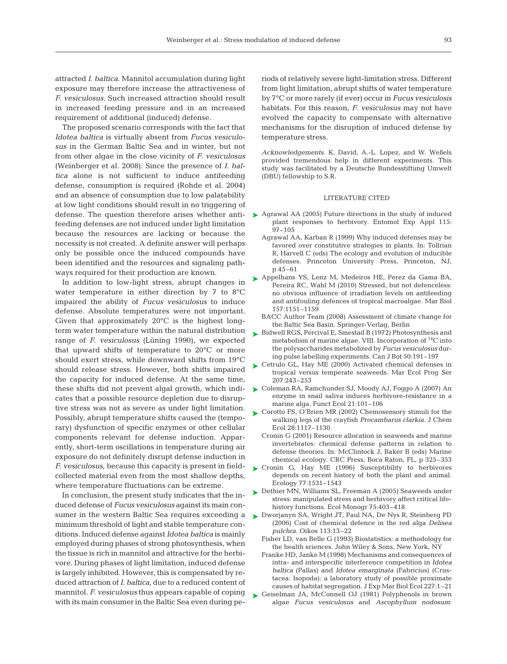attracted *I. baltica*. Mannitol accumulation during light exposure may therefore increase the attractiveness of *F. vesiculosus*. Such increased attraction should result in increased feeding pressure and in an increased requirement of additional (induced) defense.

The proposed scenario corresponds with the fact that *Idotea baltica* is virtually absent from *Fucus vesiculosus* in the German Baltic Sea and in winter, but not from other algae in the close vicinity of *F. vesiculosus* (Weinberger et al. 2008). Since the presence of *I. bal tica* alone is not sufficient to induce antifeeding defense, consumption is required (Rohde et al. 2004) and an absence of consumption due to low palatability at low light conditions should result in no triggering of defense. The question therefore arises whether antifeeding defenses are not induced under light limitation because the resources are lacking or because the necessity is not created. A definite answer will perhaps only be possible once the induced compounds have been identified and the resources and signaling pathways required for their production are known.

In addition to low-light stress, abrupt changes in water temperature in either direction by 7 to 8°C impaired the ability of *Fucus vesiculosus* to induce defense. Absolute temperatures were not important. Given that approximately 20°C is the highest longterm water temperature within the natural distribution range of *F. vesiculosus* (Lüning 1990), we expected that upward shifts of temperature to 20°C or more should exert stress, while downward shifts from 19°C should release stress. However, both shifts impaired the capacity for induced defense. At the same time, these shifts did not prevent algal growth, which indicates that a possible resource depletion due to disruptive stress was not as severe as under light limitation. Possibly, abrupt temperature shifts caused the (temporary) dysfunction of specific enzymes or other cellular components relevant for defense induction. Apparently, short-term oscillations in temperature during air exposure do not definitely disrupt defense induction in *F. vesiculosus*, because this capacity is present in fieldcollected material even from the most shallow depths, where temperature fluctuations can be extreme.

In conclusion, the present study indicates that the induced defense of *Fucus vesiculosus* against its main consumer in the western Baltic Sea requires exceeding a  $\triangleright$  Dworjanyn SA, Wright JT, Paul NA, De Nys R, Steinberg PD minimum threshold of light and stable temperature conditions. Induced defense against *Idotea baltica* is mainly employed during phases of strong photosynthesis, when the tissue is rich in mannitol and attractive for the herbivore. During phases of light limitation, induced defense is largely inhibited. However, this is compensated by reduced attraction of *I. baltica*, due to a reduced content of mannitol. *F. vesiculosus* thus appears capable of coping with its main consumer in the Baltic Sea even during pe-

riods of relatively severe light-limitation stress. Different from light limitation, abrupt shifts of water temperature by 7°C or more rarely (if ever) occur in *Fucus vesiculosis* habitats. For this reason, *F. vesiculosus* may not have evolved the capacity to compensate with alternative mechanisms for the disruption of induced defense by temperature stress.

*Acknowledgements.* K. David, A.-L. Lopez, and W. Weßels provided tremendous help in different experiments. This study was facilitated by a Deutsche Bundesstiftung Umwelt (DBU) fellowship to S.R.

# LITERATURE CITED

- ► Agrawal AA (2005) Future directions in the study of induced plant responses to herbivory. Entomol Exp Appl 115: 97–105
	- Agrawal AA, Karban R (1999) Why induced defenses may be favored over constitutive strategies in plants. In: Tollrian R, Harvell C (eds) The ecology and evolution of inducible defenses. Princeton University Press, Princeton, NJ, p 45–61
- ► Appelhans YS, Lenz M, Medeiros HE, Perez da Gama BA, Pereira RC, Wahl M (2010) Stressed, but not defenceless: no obvious influence of irradiation levels on antifeeding and antifouling defences of tropical macroalgae. Mar Biol 157:1151–1159
	- BACC Author Team (2008) Assessment of climate change for the Baltic Sea Basin. Springer-Verlag, Berlin
- ► Bidwell RGS, Percival E, Smestad B (1972) Photosynthesis and metabolism of marine algae. VIII. Incorporation of 14C into the polysaccharides metabolized by *Fucus vesiculosus* during pulse labelling experiments. Can J Bot 50:191–197
- ► Cetrulo GL, Hay ME (2000) Activated chemical defenses in tropical versus temperate seaweeds. Mar Ecol Prog Ser 207:243–253
- Coleman RA, Ramchunder SJ, Moody AJ, Foggo A (2007) An ➤ enzyme in snail saliva induces herbivore-resistance in a marine alga. Funct Ecol 21:101–106
- ► Corotto FS, O'Brien MR (2002) Chemosensory stimuli for the walking legs of the crayfish *Procambarus clarkia.* J Chem Ecol 28:1117–1130
	- Cronin G (2001) Resource allocation in seaweeds and marine invertebrates: chemical defense patterns in relation to defense theories. In: McClintock J, Baker B (eds) Marine chemical ecology. CRC Press, Boca Raton, FL, p 325–353
- ▶ Cronin G, Hay ME (1996) Susceptibility to herbivores depends on recent history of both the plant and animal. Ecology 77:1531–1543
- ► Dethier MN, Williams SL, Freeman A (2005) Seaweeds under stress: manipulated stress and herbivory affect critical lifehistory functions. Ecol Monogr 75:403–418
- (2006) Cost of chemical defence in the red alga *Delisea pulchra.* Oikos 113:13–22
- Fisher LD, van Belle G (1993) Biostatistics: a methodology for the health sciences. John Wiley & Sons, New York, NY
- Franke HD, Janke M (1998) Mechanisms and consequences of intra- and interspecific interference competition in *Idotea baltica* (Pallas) and *Idotea emarginata* (Fabricius) (Crustacea: Isopoda): a laboratory study of possible proximate causes of habitat segregation. J Exp Mar Biol Ecol 227:1–21
- ► Geiselman JA, McConnell OJ (1981) Polyphenols in brown algae *Fucus vesiculosus* and *Ascophyllum nodosum*: